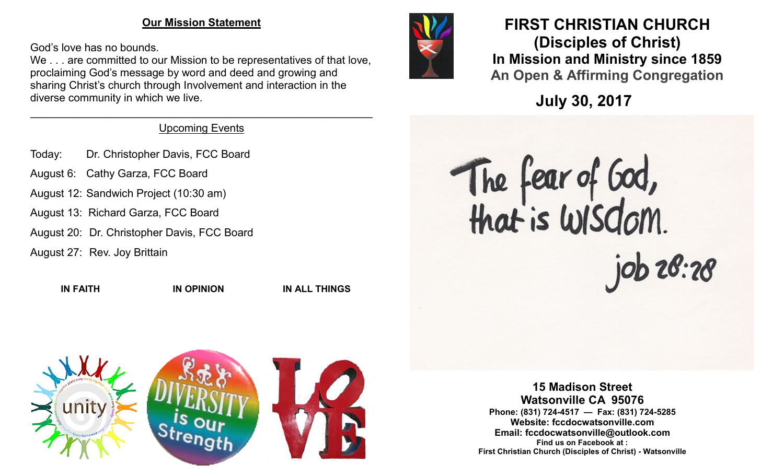#### **Our Mission Statement**

God's love has no bounds.

We . . . are committed to our Mission to be representatives of that love, proclaiming God's message by word and deed and growing and sharing Christ's church through Involvement and interaction in the diverse community in which we live.

#### $\mathcal{L}_\mathcal{L} = \mathcal{L}_\mathcal{L} = \mathcal{L}_\mathcal{L} = \mathcal{L}_\mathcal{L} = \mathcal{L}_\mathcal{L} = \mathcal{L}_\mathcal{L} = \mathcal{L}_\mathcal{L} = \mathcal{L}_\mathcal{L} = \mathcal{L}_\mathcal{L} = \mathcal{L}_\mathcal{L} = \mathcal{L}_\mathcal{L} = \mathcal{L}_\mathcal{L} = \mathcal{L}_\mathcal{L} = \mathcal{L}_\mathcal{L} = \mathcal{L}_\mathcal{L} = \mathcal{L}_\mathcal{L} = \mathcal{L}_\mathcal{L}$ Upcoming Events

- Today: Dr. Christopher Davis, FCC Board
- August 6: Cathy Garza, FCC Board
- August 12: Sandwich Project (10:30 am)
- August 13: Richard Garza, FCC Board
- August 20: Dr. Christopher Davis, FCC Board
- August 27: Rev. Joy Brittain

**IN FAITH IN OPINION IN ALL THINGS**



# **FIRST CHRISTIAN CHURCH (Disciples of Christ) In Mission and Ministry since 1859 An Open & Affirming Congregation**

**July 30, 2017**

The fear of God,<br>that is wisdom. job 28:28

> **15 Madison Street Watsonville CA 95076 Phone: (831) 724-4517 — Fax: (831) 724-5285 Website: fccdocwatsonville.com Email: fccdocwatsonville@outlook.com Find us on Facebook at : First Christian Church (Disciples of Christ) - Watsonville**